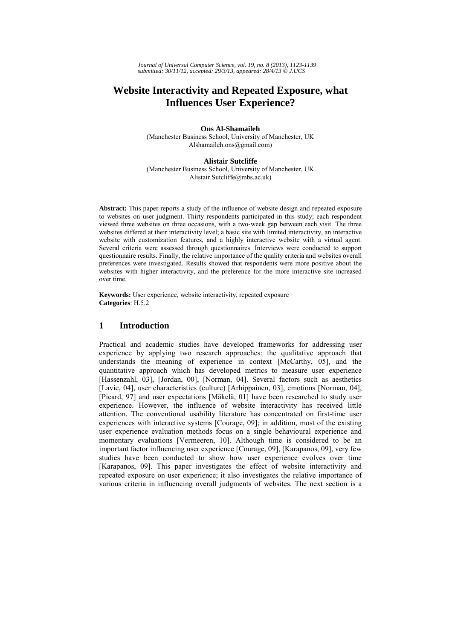# **Website Interactivity and Repeated Exposure, what Influences User Experience?**

**Ons Al-Shamaileh**  (Manchester Business School, University of Manchester, UK Alshamaileh.ons@gmail.com)

#### **Alistair Sutcliffe**

(Manchester Business School, University of Manchester, UK Alistair.Sutcliffe@mbs.ac.uk)

**Abstract:** This paper reports a study of the influence of website design and repeated exposure to websites on user judgment. Thirty respondents participated in this study; each respondent viewed three websites on three occasions, with a two-week gap between each visit. The three websites differed at their interactivity level; a basic site with limited interactivity, an interactive website with customization features, and a highly interactive website with a virtual agent. Several criteria were assessed through questionnaires. Interviews were conducted to support questionnaire results. Finally, the relative importance of the quality criteria and websites overall preferences were investigated. Results showed that respondents were more positive about the websites with higher interactivity, and the preference for the more interactive site increased over time.

**Keywords:** User experience, website interactivity, repeated exposure **Categories**: H.5.2

# **1 Introduction**

Practical and academic studies have developed frameworks for addressing user experience by applying two research approaches: the qualitative approach that understands the meaning of experience in context [McCarthy, 05], and the quantitative approach which has developed metrics to measure user experience [Hassenzahl, 03], [Jordan, 00], [Norman, 04]. Several factors such as aesthetics [Lavie, 04], user characteristics (culture) [Arhippainen, 03], emotions [Norman, 04], [Picard, 97] and user expectations [Mäkelä, 01] have been researched to study user experience. However, the influence of website interactivity has received little attention. The conventional usability literature has concentrated on first-time user experiences with interactive systems [Courage, 09]; in addition, most of the existing user experience evaluation methods focus on a single behavioural experience and momentary evaluations [Vermeeren, 10]. Although time is considered to be an important factor influencing user experience [Courage, 09], [Karapanos, 09], very few studies have been conducted to show how user experience evolves over time [Karapanos, 09]. This paper investigates the effect of website interactivity and repeated exposure on user experience; it also investigates the relative importance of various criteria in influencing overall judgments of websites. The next section is a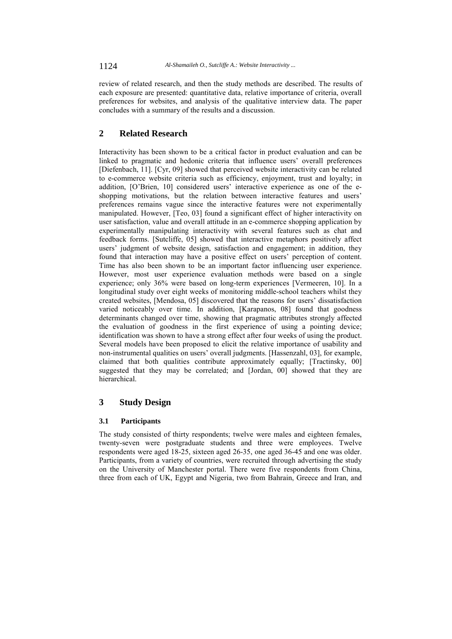review of related research, and then the study methods are described. The results of each exposure are presented: quantitative data, relative importance of criteria, overall preferences for websites, and analysis of the qualitative interview data. The paper concludes with a summary of the results and a discussion.

# **2 Related Research**

Interactivity has been shown to be a critical factor in product evaluation and can be linked to pragmatic and hedonic criteria that influence users' overall preferences [Diefenbach, 11]. [Cyr, 09] showed that perceived website interactivity can be related to e-commerce website criteria such as efficiency, enjoyment, trust and loyalty; in addition, [O'Brien, 10] considered users' interactive experience as one of the eshopping motivations, but the relation between interactive features and users' preferences remains vague since the interactive features were not experimentally manipulated. However, [Teo, 03] found a significant effect of higher interactivity on user satisfaction, value and overall attitude in an e-commerce shopping application by experimentally manipulating interactivity with several features such as chat and feedback forms. [Sutcliffe, 05] showed that interactive metaphors positively affect users' judgment of website design, satisfaction and engagement; in addition, they found that interaction may have a positive effect on users' perception of content. Time has also been shown to be an important factor influencing user experience. However, most user experience evaluation methods were based on a single experience; only 36% were based on long-term experiences [Vermeeren, 10]. In a longitudinal study over eight weeks of monitoring middle-school teachers whilst they created websites, [Mendosa, 05] discovered that the reasons for users' dissatisfaction varied noticeably over time. In addition, [Karapanos, 08] found that goodness determinants changed over time, showing that pragmatic attributes strongly affected the evaluation of goodness in the first experience of using a pointing device; identification was shown to have a strong effect after four weeks of using the product. Several models have been proposed to elicit the relative importance of usability and non-instrumental qualities on users' overall judgments. [Hassenzahl, 03], for example, claimed that both qualities contribute approximately equally; [Tractinsky, 00] suggested that they may be correlated; and [Jordan, 00] showed that they are hierarchical.

# **3 Study Design**

### **3.1 Participants**

The study consisted of thirty respondents; twelve were males and eighteen females, twenty-seven were postgraduate students and three were employees. Twelve respondents were aged 18-25, sixteen aged 26-35, one aged 36-45 and one was older. Participants, from a variety of countries, were recruited through advertising the study on the University of Manchester portal. There were five respondents from China, three from each of UK, Egypt and Nigeria, two from Bahrain, Greece and Iran, and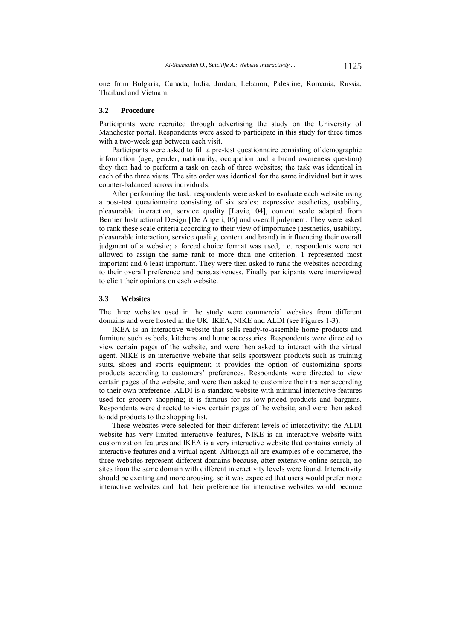one from Bulgaria, Canada, India, Jordan, Lebanon, Palestine, Romania, Russia, Thailand and Vietnam.

#### **3.2 Procedure**

Participants were recruited through advertising the study on the University of Manchester portal. Respondents were asked to participate in this study for three times with a two-week gap between each visit.

Participants were asked to fill a pre-test questionnaire consisting of demographic information (age, gender, nationality, occupation and a brand awareness question) they then had to perform a task on each of three websites; the task was identical in each of the three visits. The site order was identical for the same individual but it was counter-balanced across individuals.

After performing the task; respondents were asked to evaluate each website using a post-test questionnaire consisting of six scales: expressive aesthetics, usability, pleasurable interaction, service quality [Lavie, 04], content scale adapted from Bernier Instructional Design [De Angeli, 06] and overall judgment. They were asked to rank these scale criteria according to their view of importance (aesthetics, usability, pleasurable interaction, service quality, content and brand) in influencing their overall judgment of a website; a forced choice format was used, i.e. respondents were not allowed to assign the same rank to more than one criterion. 1 represented most important and 6 least important. They were then asked to rank the websites according to their overall preference and persuasiveness. Finally participants were interviewed to elicit their opinions on each website.

#### **3.3 Websites**

The three websites used in the study were commercial websites from different domains and were hosted in the UK: IKEA, NIKE and ALDI (see Figures 1-3).

IKEA is an interactive website that sells ready-to-assemble home products and furniture such as beds, kitchens and home accessories. Respondents were directed to view certain pages of the website, and were then asked to interact with the virtual agent. NIKE is an interactive website that sells sportswear products such as training suits, shoes and sports equipment; it provides the option of customizing sports products according to customers' preferences. Respondents were directed to view certain pages of the website, and were then asked to customize their trainer according to their own preference. ALDI is a standard website with minimal interactive features used for grocery shopping; it is famous for its low-priced products and bargains. Respondents were directed to view certain pages of the website, and were then asked to add products to the shopping list.

These websites were selected for their different levels of interactivity: the ALDI website has very limited interactive features, NIKE is an interactive website with customization features and IKEA is a very interactive website that contains variety of interactive features and a virtual agent. Although all are examples of e-commerce, the three websites represent different domains because, after extensive online search, no sites from the same domain with different interactivity levels were found. Interactivity should be exciting and more arousing, so it was expected that users would prefer more interactive websites and that their preference for interactive websites would become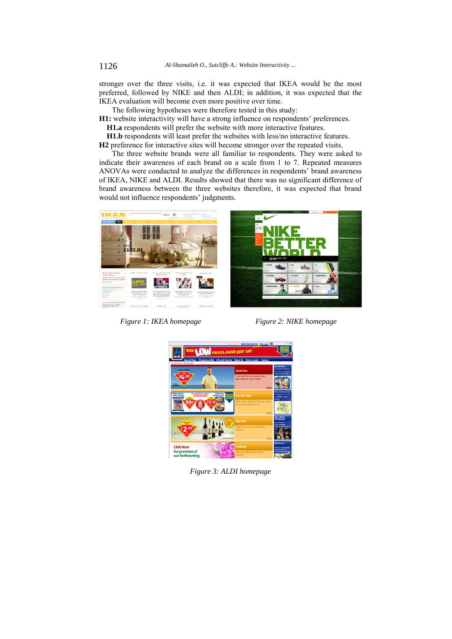stronger over the three visits, i.e. it was expected that IKEA would be the most preferred, followed by NIKE and then ALDI; in addition, it was expected that the IKEA evaluation will become even more positive over time.

The following hypotheses were therefore tested in this study:

**H1:** website interactivity will have a strong influence on respondents' preferences.  **H1.a** respondents will prefer the website with more interactive features.

 **H1.b** respondents will least prefer the websites with less/no interactive features.

**H2** preference for interactive sites will become stronger over the repeated visits.

The three website brands were all familiar to respondents. They were asked to indicate their awareness of each brand on a scale from 1 to 7. Repeated measures ANOVAs were conducted to analyze the differences in respondents' brand awareness of IKEA, NIKE and ALDI. Results showed that there was no significant difference of brand awareness between the three websites therefore, it was expected that brand would not influence respondents' judgments.



*Figure 1: IKEA homepage* Figure 2: NIKE homepage



*Figure 3: ALDI homepage*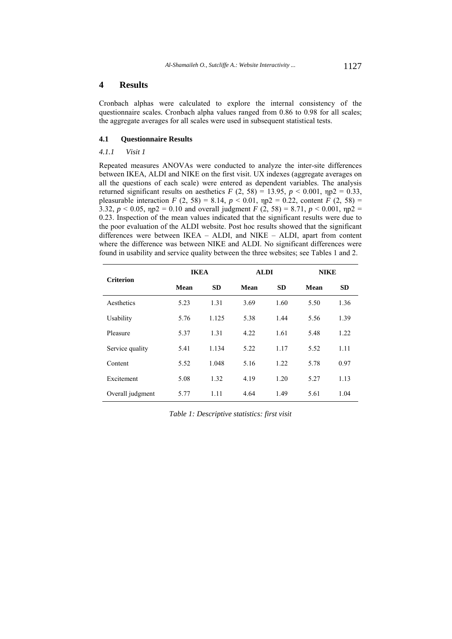# **4 Results**

Cronbach alphas were calculated to explore the internal consistency of the questionnaire scales. Cronbach alpha values ranged from 0.86 to 0.98 for all scales; the aggregate averages for all scales were used in subsequent statistical tests.

### **4.1 Questionnaire Results**

### *4.1.1 Visit 1*

Repeated measures ANOVAs were conducted to analyze the inter-site differences between IKEA, ALDI and NIKE on the first visit. UX indexes (aggregate averages on all the questions of each scale) were entered as dependent variables. The analysis returned significant results on aesthetics  $F(2, 58) = 13.95$ ,  $p < 0.001$ ,  $np2 = 0.33$ , pleasurable interaction *F* (2, 58) = 8.14,  $p < 0.01$ ,  $np2 = 0.22$ , content *F* (2, 58) = 3.32,  $p < 0.05$ ,  $np2 = 0.10$  and overall judgment *F* (2, 58) = 8.71,  $p < 0.001$ ,  $np2 =$ 0.23. Inspection of the mean values indicated that the significant results were due to the poor evaluation of the ALDI website. Post hoc results showed that the significant differences were between IKEA – ALDI, and NIKE – ALDI, apart from content where the difference was between NIKE and ALDI. No significant differences were found in usability and service quality between the three websites; see Tables 1 and 2.

| <b>Criterion</b> | <b>IKEA</b> |           | <b>ALDI</b> |           |      | <b>NIKE</b> |  |
|------------------|-------------|-----------|-------------|-----------|------|-------------|--|
|                  | Mean        | <b>SD</b> | Mean        | <b>SD</b> | Mean | <b>SD</b>   |  |
| Aesthetics       | 5.23        | 1.31      | 3.69        | 1.60      | 5.50 | 1.36        |  |
| Usability        | 5.76        | 1.125     | 5.38        | 1.44      | 5.56 | 1.39        |  |
| Pleasure         | 5.37        | 1.31      | 4.22        | 1.61      | 5.48 | 1.22        |  |
| Service quality  | 5.41        | 1.134     | 5.22        | 1.17      | 5.52 | 1.11        |  |
| Content          | 5.52        | 1.048     | 5.16        | 1.22      | 5.78 | 0.97        |  |
| Excitement       | 5.08        | 1.32      | 4.19        | 1.20      | 5.27 | 1.13        |  |
| Overall judgment | 5.77        | 1.11      | 4.64        | 1.49      | 5.61 | 1.04        |  |

*Table 1: Descriptive statistics: first visit*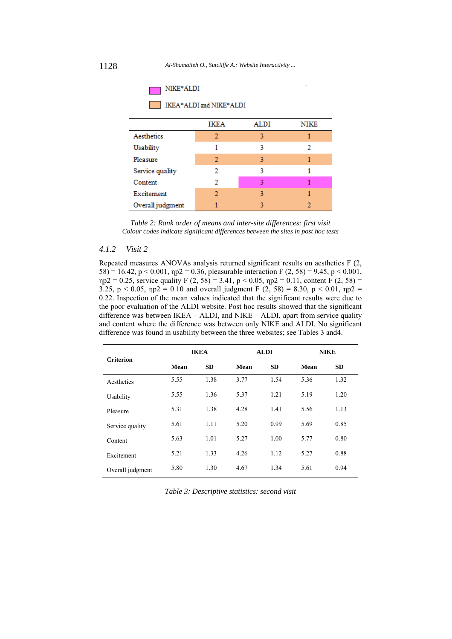

*Table 2: Rank order of means and inter-site differences: first visit Colour codes indicate significant differences between the sites in post hoc tests* 

# *4.1.2 Visit 2*

Repeated measures ANOVAs analysis returned significant results on aesthetics F (2, 58) = 16.42, p < 0.001,  $np2 = 0.36$ , pleasurable interaction F (2, 58) = 9.45, p < 0.001,  $np2 = 0.25$ , service quality F (2, 58) = 3.41, p < 0.05,  $np2 = 0.11$ , content F (2, 58) = 3.25,  $p < 0.05$ ,  $np2 = 0.10$  and overall judgment F (2, 58) = 8.30,  $p < 0.01$ ,  $np2 =$ 0.22. Inspection of the mean values indicated that the significant results were due to the poor evaluation of the ALDI website. Post hoc results showed that the significant difference was between IKEA – ALDI, and NIKE – ALDI, apart from service quality and content where the difference was between only NIKE and ALDI. No significant difference was found in usability between the three websites; see Tables 3 and4.

| <b>Criterion</b> | <b>IKEA</b> |           | <b>ALDI</b><br><b>NIKE</b> |           |      |           |
|------------------|-------------|-----------|----------------------------|-----------|------|-----------|
|                  | Mean        | <b>SD</b> | Mean                       | <b>SD</b> | Mean | <b>SD</b> |
| Aesthetics       | 5.55        | 1.38      | 3.77                       | 1.54      | 5.36 | 1.32      |
| Usability        | 5.55        | 1.36      | 5.37                       | 1.21      | 5.19 | 1.20      |
| Pleasure         | 5.31        | 1.38      | 4.28                       | 1.41      | 5.56 | 1.13      |
| Service quality  | 5.61        | 1.11      | 5.20                       | 0.99      | 5.69 | 0.85      |
| Content          | 5.63        | 1.01      | 5.27                       | 1.00      | 5.77 | 0.80      |
| Excitement       | 5.21        | 1.33      | 4.26                       | 1.12      | 5.27 | 0.88      |
| Overall judgment | 5.80        | 1.30      | 4.67                       | 1.34      | 5.61 | 0.94      |

*Table 3: Descriptive statistics: second visit*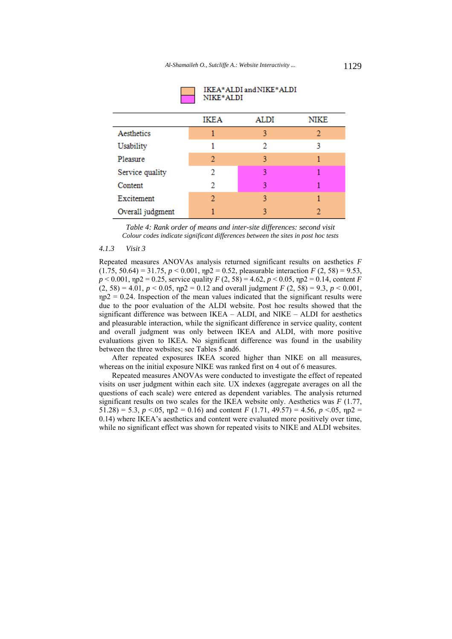|                  | <b>IKEA</b> | <b>ALDI</b> | NIKE |
|------------------|-------------|-------------|------|
| Aesthetics       |             | ٩           | 2    |
| <b>Usability</b> |             | 2           | ٩    |
| Pleasure         | 2           | ٩           |      |
| Service quality  | 2           | ٩           |      |
| Content          | 2           | ٩           |      |
| Excitement       | 2           | ٩           |      |
| Overall judgment |             |             |      |



*Table 4: Rank order of means and inter-site differences: second visit Colour codes indicate significant differences between the sites in post hoc tests* 

#### *4.1.3 Visit 3*

Repeated measures ANOVAs analysis returned significant results on aesthetics *F*  (1.75, 50.64) = 31.75, *p* < 0.001, ηp2 = 0.52, pleasurable interaction *F* (2, 58) = 9.53,  $p < 0.001$ ,  $np2 = 0.25$ , service quality  $F(2, 58) = 4.62$ ,  $p < 0.05$ ,  $np2 = 0.14$ , content *F*  $(2, 58) = 4.01$ ,  $p < 0.05$ ,  $np2 = 0.12$  and overall judgment *F*  $(2, 58) = 9.3$ ,  $p < 0.001$ ,  $np2 = 0.24$ . Inspection of the mean values indicated that the significant results were due to the poor evaluation of the ALDI website. Post hoc results showed that the significant difference was between IKEA – ALDI, and NIKE – ALDI for aesthetics and pleasurable interaction, while the significant difference in service quality, content and overall judgment was only between IKEA and ALDI, with more positive evaluations given to IKEA. No significant difference was found in the usability between the three websites; see Tables 5 and6.

After repeated exposures IKEA scored higher than NIKE on all measures, whereas on the initial exposure NIKE was ranked first on 4 out of 6 measures.

Repeated measures ANOVAs were conducted to investigate the effect of repeated visits on user judgment within each site. UX indexes (aggregate averages on all the questions of each scale) were entered as dependent variables. The analysis returned significant results on two scales for the IKEA website only. Aesthetics was *F* (1.77, 51.28) = 5.3,  $p < 0.05$ ,  $np2 = 0.16$ ) and content *F* (1.71, 49.57) = 4.56,  $p < 0.05$ ,  $np2 =$ 0.14) where IKEA's aesthetics and content were evaluated more positively over time, while no significant effect was shown for repeated visits to NIKE and ALDI websites.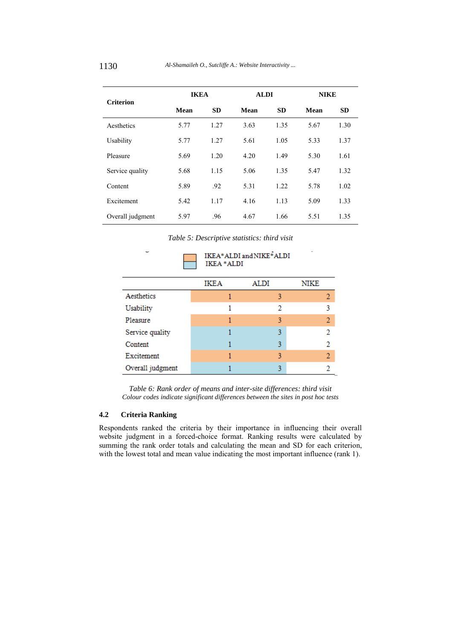| <b>Criterion</b> | <b>IKEA</b> |           |      | <b>ALDI</b><br><b>NIKE</b> |      |           |
|------------------|-------------|-----------|------|----------------------------|------|-----------|
|                  | Mean        | <b>SD</b> | Mean | <b>SD</b>                  | Mean | <b>SD</b> |
| Aesthetics       | 5.77        | 1.27      | 3.63 | 1.35                       | 5.67 | 1.30      |
| Usability        | 5.77        | 1.27      | 5.61 | 1.05                       | 5.33 | 1.37      |
| Pleasure         | 5.69        | 1.20      | 4.20 | 1.49                       | 5.30 | 1.61      |
| Service quality  | 5.68        | 1.15      | 5.06 | 1.35                       | 5.47 | 1.32      |
| Content          | 5.89        | .92       | 5.31 | 1.22                       | 5.78 | 1.02      |
| Excitement       | 5.42        | 1.17      | 4.16 | 1.13                       | 5.09 | 1.33      |
| Overall judgment | 5.97        | .96       | 4.67 | 1.66                       | 5.51 | 1.35      |

*Table 5: Descriptive statistics: third visit* 



*Table 6: Rank order of means and inter-site differences: third visit Colour codes indicate significant differences between the sites in post hoc tests*

# **4.2 Criteria Ranking**

Respondents ranked the criteria by their importance in influencing their overall website judgment in a forced-choice format. Ranking results were calculated by summing the rank order totals and calculating the mean and SD for each criterion, with the lowest total and mean value indicating the most important influence (rank 1).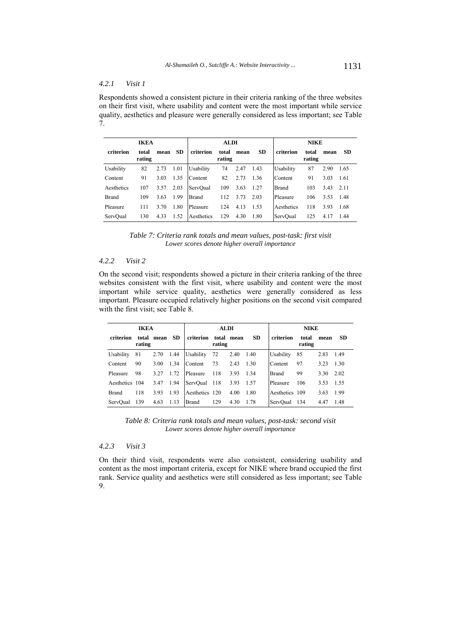# *4.2.1 Visit 1*

Respondents showed a consistent picture in their criteria ranking of the three websites on their first visit, where usability and content were the most important while service quality, aesthetics and pleasure were generally considered as less important; see Table 7.

| <b>IKEA</b>  |                 |      |      | <b>ALDI</b>  |                 |      |           | <b>NIKE</b>  |                 |      |           |
|--------------|-----------------|------|------|--------------|-----------------|------|-----------|--------------|-----------------|------|-----------|
| criterion    | total<br>rating | mean | SD.  | criterion    | total<br>rating | mean | <b>SD</b> | criterion    | total<br>rating | mean | <b>SD</b> |
| Usability    | 82              | 2.73 | 1.01 | Usability    | 74              | 2.47 | 1.43      | Usability    | 87              | 2.90 | 1.65      |
| Content      | 91              | 3.03 | 1.35 | Content      | 82              | 2.73 | 1.36      | Content      | 91              | 3.03 | 1.61      |
| Aesthetics   | 107             | 3.57 | 2.03 | ServOual     | 109             | 3.63 | 1.27      | <b>Brand</b> | 103             | 3.43 | 2.11      |
| <b>Brand</b> | 109             | 3.63 | 1.99 | <b>Brand</b> | 112             | 3.73 | 2.03      | Pleasure     | 106             | 3.53 | 1.48      |
| Pleasure     | 111             | 3.70 | 1.80 | Pleasure     | 124             | 4.13 | 1.53      | Aesthetics   | 118             | 3.93 | 1.68      |
| ServOual     | 130             | 4.33 | 1.52 | Aesthetics   | 129             | 4.30 | 1.80      | ServOual     | 125             | 4.17 | 1.44      |

*Table 7: Criteria rank totals and mean values, post-task: first visit Lower scores denote higher overall importance* 

### *4.2.2 Visit 2*

On the second visit; respondents showed a picture in their criteria ranking of the three websites consistent with the first visit, where usability and content were the most important while service quality, aesthetics were generally considered as less important. Pleasure occupied relatively higher positions on the second visit compared with the first visit; see Table 8.

| <b>IKEA</b>    |        |            |           |                | <b>ALDI</b> |            |           | <b>NIKE</b>    |                 |      |           |
|----------------|--------|------------|-----------|----------------|-------------|------------|-----------|----------------|-----------------|------|-----------|
| criterion      | rating | total mean | <b>SD</b> | criterion      | rating      | total mean | <b>SD</b> | criterion      | total<br>rating | mean | <b>SD</b> |
| Usability      | 81     | 2.70       | 1.44      | Usability      | 72          | 2.40       | 1.40      | Usability      | 85              | 2.83 | 1.49      |
| Content        | 90     | 3.00       | 1.34      | Content        | 73          | 2.43       | 1.30      | Content        | 97              | 3.23 | 1.30      |
| Pleasure       | 98     | 3.27       | 1.72      | Pleasure       | 118         | 3.93       | 1 3 4     | <b>Brand</b>   | 99              | 3.30 | 2.02      |
| Aesthetics 104 |        | 3.47       | 1.94      | ServOual       | 118         | 3.93       | 1.57      | Pleasure       | 106             | 3.53 | 1.55      |
| <b>Brand</b>   | 118    | 3.93       | 1.93      | Aesthetics 120 |             | 4.00       | 1.80      | Aesthetics 109 |                 | 3.63 | 1.99      |
| ServOual       | 139    | 4.63       | 1.13      | <b>Brand</b>   | 129         | 4.30       | 178       | ServOual       | 134             | 4.47 | 1.48      |

*Table 8: Criteria rank totals and mean values, post-task: second visit Lower scores denote higher overall importance* 

## *4.2.3 Visit 3*

On their third visit, respondents were also consistent, considering usability and content as the most important criteria, except for NIKE where brand occupied the first rank. Service quality and aesthetics were still considered as less important; see Table 9.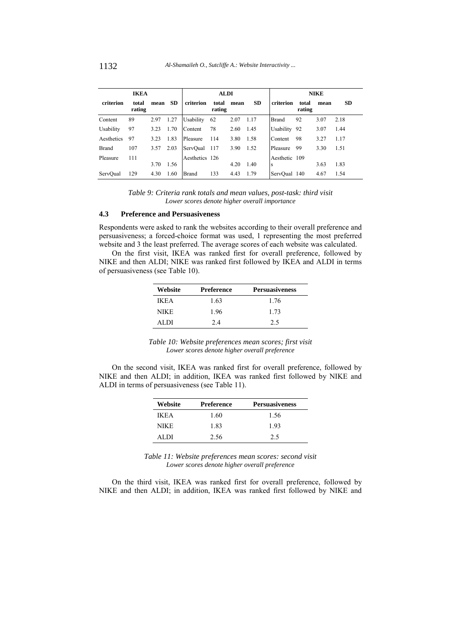| <b>IKEA</b>  |                 |      |           |                | <b>ALDI</b>     |      |           | <b>NIKE</b>   |                 |      |           |
|--------------|-----------------|------|-----------|----------------|-----------------|------|-----------|---------------|-----------------|------|-----------|
| criterion    | total<br>rating | mean | <b>SD</b> | criterion      | total<br>rating | mean | <b>SD</b> | criterion     | total<br>rating | mean | <b>SD</b> |
| Content      | 89              | 2.97 | 1.27      | Usability      | 62              | 2.07 | 1.17      | <b>Brand</b>  | 92              | 3.07 | 2.18      |
| Usability    | 97              | 3.23 | 1.70      | Content        | 78              | 2.60 | 1.45      | Usability     | 92              | 3.07 | 1.44      |
| Aesthetics   | 97              | 3.23 | 1.83      | Pleasure       | 114             | 3.80 | 1.58      | Content       | 98              | 3.27 | 1.17      |
| <b>Brand</b> | 107             | 3.57 | 2.03      | ServOual       | 117             | 3.90 | 1.52      | Pleasure      | 99              | 3.30 | 1.51      |
| Pleasure     | 111             |      |           | Aesthetics 126 |                 |      |           | Aesthetic 109 |                 |      |           |
|              |                 | 3.70 | 1.56      |                |                 | 4.20 | 1.40      | <b>S</b>      |                 | 3.63 | 1.83      |
| ServQual     | 129             | 4.30 | 1.60      | <b>Brand</b>   | 133             | 4.43 | 1.79      | ServOual 140  |                 | 4.67 | 1.54      |

*Table 9: Criteria rank totals and mean values, post-task: third visit Lower scores denote higher overall importance* 

### **4.3 Preference and Persuasiveness**

Respondents were asked to rank the websites according to their overall preference and persuasiveness; a forced-choice format was used, 1 representing the most preferred website and 3 the least preferred. The average scores of each website was calculated.

On the first visit, IKEA was ranked first for overall preference, followed by NIKE and then ALDI; NIKE was ranked first followed by IKEA and ALDI in terms of persuasiveness (see Table 10).

| Website     | <b>Preference</b> | <b>Persuasiveness</b> |
|-------------|-------------------|-----------------------|
| <b>IKEA</b> | 1.63              | 1.76                  |
| NIKE        | 1.96              | 1 73                  |
| AL DI       | 2.4               | 2.5                   |

| Table 10: Website preferences mean scores; first visit |  |
|--------------------------------------------------------|--|
| Lower scores denote higher overall preference          |  |

On the second visit, IKEA was ranked first for overall preference, followed by NIKE and then ALDI; in addition, IKEA was ranked first followed by NIKE and ALDI in terms of persuasiveness (see Table 11).

| Website     | <b>Preference</b> | <b>Persuasiveness</b> |
|-------------|-------------------|-----------------------|
| <b>IKEA</b> | 1.60              | 1.56                  |
| NIKE        | 183               | 193                   |
| AL DI       | 2.56              | 2.5                   |

*Table 11: Website preferences mean scores: second visit Lower scores denote higher overall preference* 

On the third visit, IKEA was ranked first for overall preference, followed by NIKE and then ALDI; in addition, IKEA was ranked first followed by NIKE and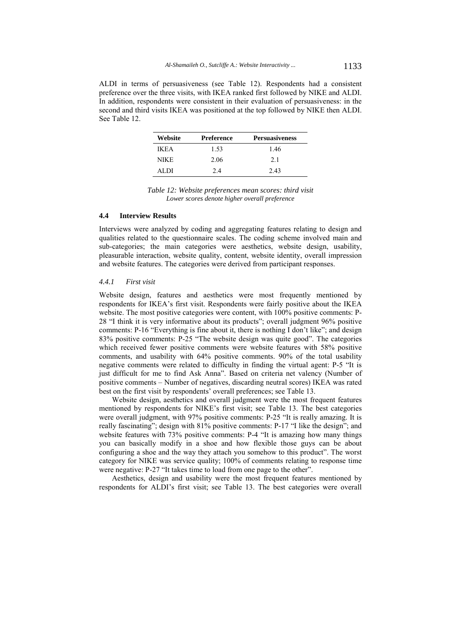ALDI in terms of persuasiveness (see Table 12). Respondents had a consistent preference over the three visits, with IKEA ranked first followed by NIKE and ALDI. In addition, respondents were consistent in their evaluation of persuasiveness: in the second and third visits IKEA was positioned at the top followed by NIKE then ALDI. See Table 12.

| Website | <b>Preference</b> | <b>Persuasiveness</b> |
|---------|-------------------|-----------------------|
| IK F.A  | 1.53              | 1.46                  |
| NIK E   | 2.06              | 2.1                   |
| AL DI   | 2.4               | 2.43                  |

*Table 12: Website preferences mean scores: third visit Lower scores denote higher overall preference*

### **4.4 Interview Results**

Interviews were analyzed by coding and aggregating features relating to design and qualities related to the questionnaire scales. The coding scheme involved main and sub-categories; the main categories were aesthetics, website design, usability, pleasurable interaction, website quality, content, website identity, overall impression and website features. The categories were derived from participant responses.

### *4.4.1 First visit*

Website design, features and aesthetics were most frequently mentioned by respondents for IKEA's first visit. Respondents were fairly positive about the IKEA website. The most positive categories were content, with  $100\%$  positive comments: P-28 "I think it is very informative about its products"; overall judgment 96% positive comments: P-16 "Everything is fine about it, there is nothing I don't like"; and design 83% positive comments: P-25 "The website design was quite good". The categories which received fewer positive comments were website features with 58% positive comments, and usability with 64% positive comments. 90% of the total usability negative comments were related to difficulty in finding the virtual agent: P-5 "It is just difficult for me to find Ask Anna". Based on criteria net valency (Number of positive comments – Number of negatives, discarding neutral scores) IKEA was rated best on the first visit by respondents' overall preferences; see Table 13.

Website design, aesthetics and overall judgment were the most frequent features mentioned by respondents for NIKE's first visit; see Table 13. The best categories were overall judgment, with 97% positive comments: P-25 "It is really amazing. It is really fascinating"; design with 81% positive comments: P-17 "I like the design"; and website features with 73% positive comments: P-4 "It is amazing how many things you can basically modify in a shoe and how flexible those guys can be about configuring a shoe and the way they attach you somehow to this product". The worst category for NIKE was service quality; 100% of comments relating to response time were negative: P-27 "It takes time to load from one page to the other".

Aesthetics, design and usability were the most frequent features mentioned by respondents for ALDI's first visit; see Table 13. The best categories were overall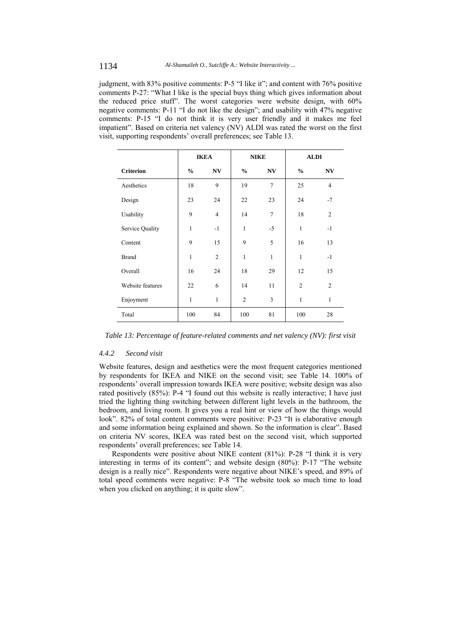judgment, with 83% positive comments: P-5 "I like it"; and content with 76% positive comments P-27: "What I like is the special buys thing which gives information about the reduced price stuff". The worst categories were website design, with 60% negative comments: P-11 "I do not like the design"; and usability with 47% negative comments: P-15 "I do not think it is very user friendly and it makes me feel impatient". Based on criteria net valency (NV) ALDI was rated the worst on the first visit, supporting respondents' overall preferences; see Table 13.

|                  | <b>IKEA</b>   |                        |                | <b>NIKE</b>            | <b>ALDI</b>    |                |
|------------------|---------------|------------------------|----------------|------------------------|----------------|----------------|
| <b>Criterion</b> | $\frac{0}{0}$ | $\mathbf{N}\mathbf{V}$ | $\frac{0}{0}$  | $\mathbf{N}\mathbf{V}$ | $\frac{0}{0}$  | N V            |
| Aesthetics       | 18            | 9                      | 19             | $\tau$                 | 25             | $\overline{4}$ |
| Design           | 23            | 24                     | 22             | 23                     | 24             | $-7$           |
| Usability        | 9             | $\overline{4}$         | 14             | $\overline{7}$         | 18             | $\overline{2}$ |
| Service Quality  | 1             | $-1$                   | $\mathbf{1}$   | $-5$                   | 1              | $-1$           |
| Content          | 9             | 15                     | 9              | 5                      | 16             | 13             |
| <b>Brand</b>     | 1             | $\overline{2}$         | $\mathbf{1}$   | 1                      | 1              | $-1$           |
| Overall          | 16            | 24                     | 18             | 29                     | 12             | 15             |
| Website features | 22            | 6                      | 14             | 11                     | $\overline{2}$ | $\overline{2}$ |
| Enjoyment        | 1             | 1                      | $\overline{2}$ | 3                      | 1              | 1              |
| Total            | 100           | 84                     | 100            | 81                     | 100            | 28             |

*Table 13: Percentage of feature-related comments and net valency (NV): first visit* 

### *4.4.2 Second visit*

Website features, design and aesthetics were the most frequent categories mentioned by respondents for IKEA and NIKE on the second visit; see Table 14. 100% of respondents' overall impression towards IKEA were positive; website design was also rated positively (85%): P-4 "I found out this website is really interactive; I have just tried the lighting thing switching between different light levels in the bathroom, the bedroom, and living room. It gives you a real hint or view of how the things would look". 82% of total content comments were positive: P-23 "It is elaborative enough and some information being explained and shown. So the information is clear". Based on criteria NV scores, IKEA was rated best on the second visit, which supported respondents' overall preferences; see Table 14.

Respondents were positive about NIKE content (81%): P-28 "I think it is very interesting in terms of its content"; and website design (80%): P-17 "The website design is a really nice". Respondents were negative about NIKE's speed, and 89% of total speed comments were negative: P-8 "The website took so much time to load when you clicked on anything; it is quite slow".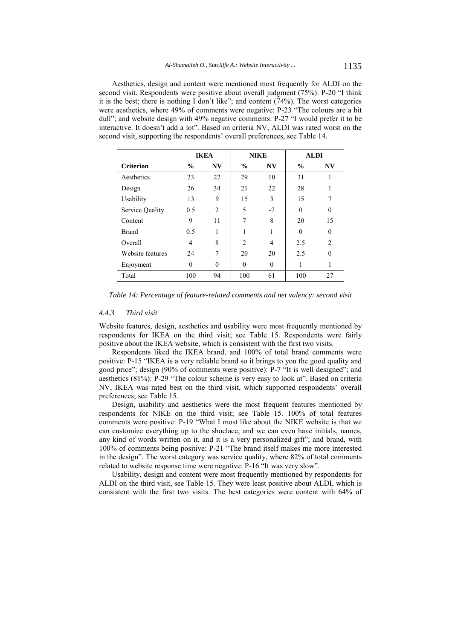Aesthetics, design and content were mentioned most frequently for ALDI on the second visit. Respondents were positive about overall judgment (75%): P-20 "I think it is the best; there is nothing I don't like"; and content (74%). The worst categories were aesthetics, where 49% of comments were negative: P-23 "The colours are a bit dull"; and website design with 49% negative comments: P-27 "I would prefer it to be interactive. It doesn't add a lot". Based on criteria NV, ALDI was rated worst on the second visit, supporting the respondents' overall preferences, see Table 14.

|                  | <b>IKEA</b>   |                | <b>NIKE</b>    |                | <b>ALDI</b>   |                |
|------------------|---------------|----------------|----------------|----------------|---------------|----------------|
| <b>Criterion</b> | $\frac{0}{0}$ | <b>NV</b>      | $\frac{0}{0}$  | <b>NV</b>      | $\frac{0}{0}$ | NV             |
| Aesthetics       | 23            | 22             | 29             | 10             | 31            | 1              |
| Design           | 26            | 34             | 21             | 22             | 28            | 1              |
| Usability        | 13            | 9              | 15             | 3              | 15            | 7              |
| Service Quality  | 0.5           | $\overline{2}$ | 5              | $-7$           | $\Omega$      | $\Omega$       |
| Content          | 9             | 11             | 7              | 8              | 20            | 15             |
| <b>Brand</b>     | 0.5           | 1              |                |                | $\Omega$      | $\theta$       |
| Overall          | 4             | 8              | $\overline{2}$ | $\overline{4}$ | 2.5           | $\mathfrak{D}$ |
| Website features | 24            | 7              | 20             | 20             | 2.5           | $\Omega$       |
| Enjoyment        | $\theta$      | $\theta$       | $\theta$       | $\theta$       |               |                |
| Total            | 100           | 94             | 100            | 61             | 100           | 27             |

*Table 14: Percentage of feature-related comments and net valency: second visit* 

### *4.4.3 Third visit*

Website features, design, aesthetics and usability were most frequently mentioned by respondents for IKEA on the third visit; see Table 15. Respondents were fairly positive about the IKEA website, which is consistent with the first two visits.

Respondents liked the IKEA brand, and 100% of total brand comments were positive: P-15 "IKEA is a very reliable brand so it brings to you the good quality and good price"; design (90% of comments were positive): P-7 "It is well designed"; and aesthetics (81%): P-29 "The colour scheme is very easy to look at". Based on criteria NV, IKEA was rated best on the third visit, which supported respondents' overall preferences; see Table 15.

Design, usability and aesthetics were the most frequent features mentioned by respondents for NIKE on the third visit; see Table 15. 100% of total features comments were positive: P-19 "What I most like about the NIKE website is that we can customize everything up to the shoelace, and we can even have initials, names, any kind of words written on it, and it is a very personalized gift"; and brand, with 100% of comments being positive: P-21 "The brand itself makes me more interested in the design". The worst category was service quality, where 82% of total comments related to website response time were negative: P-16 "It was very slow".

Usability, design and content were most frequently mentioned by respondents for ALDI on the third visit, see Table 15. They were least positive about ALDI, which is consistent with the first two visits. The best categories were content with 64% of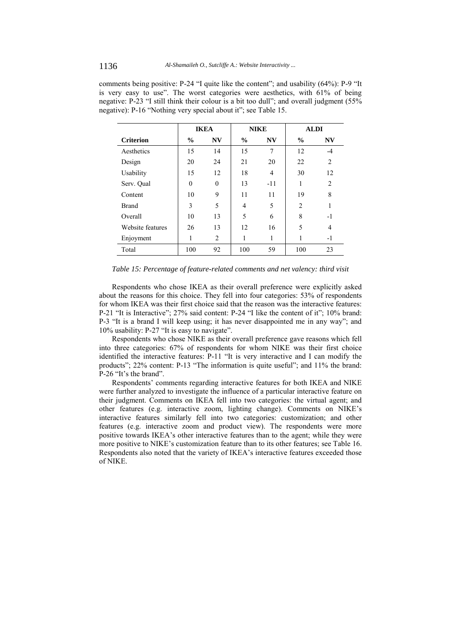|                  | <b>IKEA</b>   |           | <b>NIKE</b>   |           | <b>ALDI</b>    |                |
|------------------|---------------|-----------|---------------|-----------|----------------|----------------|
| <b>Criterion</b> | $\frac{6}{9}$ | <b>NV</b> | $\frac{6}{9}$ | <b>NV</b> | $\frac{0}{0}$  | <b>NV</b>      |
| Aesthetics       | 15            | 14        | 15            | 7         | 12             | $-4$           |
| Design           | 20            | 24        | 21            | 20        | 22             | $\overline{c}$ |
| Usability        | 15            | 12        | 18            | 4         | 30             | 12             |
| Serv. Qual       | $\theta$      | $\theta$  | 13            | $-11$     | 1              | $\overline{2}$ |
| Content          | 10            | 9         | 11            | 11        | 19             | 8              |
| <b>Brand</b>     | 3             | 5         | 4             | 5         | $\overline{2}$ | 1              |
| Overall          | 10            | 13        | 5             | 6         | 8              | $-1$           |
| Website features | 26            | 13        | 12            | 16        | 5              | 4              |
| Enjoyment        | 1             | 2         |               | 1         |                | $-1$           |
| Total            | 100           | 92        | 100           | 59        | 100            | 23             |

comments being positive: P-24 "I quite like the content"; and usability (64%): P-9 "It is very easy to use". The worst categories were aesthetics, with 61% of being negative: P-23 "I still think their colour is a bit too dull"; and overall judgment (55% negative): P-16 "Nothing very special about it"; see Table 15.

*Table 15: Percentage of feature-related comments and net valency: third visit* 

Respondents who chose IKEA as their overall preference were explicitly asked about the reasons for this choice. They fell into four categories: 53% of respondents for whom IKEA was their first choice said that the reason was the interactive features: P-21 "It is Interactive"; 27% said content: P-24 "I like the content of it"; 10% brand: P-3 "It is a brand I will keep using; it has never disappointed me in any way"; and 10% usability: P-27 "It is easy to navigate".

Respondents who chose NIKE as their overall preference gave reasons which fell into three categories: 67% of respondents for whom NIKE was their first choice identified the interactive features: P-11 "It is very interactive and I can modify the products"; 22% content: P-13 "The information is quite useful"; and 11% the brand: P-26 "It's the brand".

Respondents' comments regarding interactive features for both IKEA and NIKE were further analyzed to investigate the influence of a particular interactive feature on their judgment. Comments on IKEA fell into two categories: the virtual agent; and other features (e.g. interactive zoom, lighting change). Comments on NIKE's interactive features similarly fell into two categories: customization; and other features (e.g. interactive zoom and product view). The respondents were more positive towards IKEA's other interactive features than to the agent; while they were more positive to NIKE's customization feature than to its other features; see Table 16. Respondents also noted that the variety of IKEA's interactive features exceeded those of NIKE.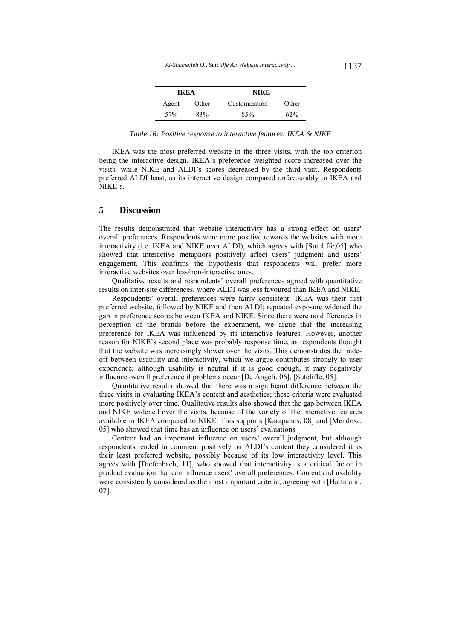| IKEA  |       | NIKE          |       |  |  |
|-------|-------|---------------|-------|--|--|
| Agent | Other | Customization | Other |  |  |
| 57%   | 83%   | 85%           | 62%   |  |  |

*Table 16: Positive response to interactive features: IKEA & NIKE* 

IKEA was the most preferred website in the three visits, with the top criterion being the interactive design. IKEA's preference weighted score increased over the visits, while NIKE and ALDI's scores decreased by the third visit. Respondents preferred ALDI least, as its interactive design compared unfavourably to IKEA and NIKE's.

# **5 Discussion**

The results demonstrated that website interactivity has a strong effect on users**'** overall preferences. Respondents were more positive towards the websites with more interactivity (i.e. IKEA and NIKE over ALDI), which agrees with [Sutcliffe,05] who showed that interactive metaphors positively affect users' judgment and users' engagement. This confirms the hypothesis that respondents will prefer more interactive websites over less/non-interactive ones.

Qualitative results and respondents' overall preferences agreed with quantitative results on inter-site differences, where ALDI was less favoured than IKEA and NIKE.

Respondents' overall preferences were fairly consistent: IKEA was their first preferred website, followed by NIKE and then ALDI; repeated exposure widened the gap in preference scores between IKEA and NIKE. Since there were no differences in perception of the brands before the experiment, we argue that the increasing preference for IKEA was influenced by its interactive features. However, another reason for NIKE's second place was probably response time, as respondents thought that the website was increasingly slower over the visits. This demonstrates the tradeoff between usability and interactivity, which we argue contributes strongly to user experience; although usability is neutral if it is good enough, it may negatively influence overall preference if problems occur [De Angeli, 06], [Sutcliffe, 05].

Quantitative results showed that there was a significant difference between the three visits in evaluating IKEA's content and aesthetics; these criteria were evaluated more positively over time. Qualitative results also showed that the gap between IKEA and NIKE widened over the visits, because of the variety of the interactive features available in IKEA compared to NIKE. This supports [Karapanos, 08] and [Mendosa, 05] who showed that time has an influence on users' evaluations.

Content had an important influence on users' overall judgment, but although respondents tended to comment positively on ALDI's content they considered it as their least preferred website, possibly because of its low interactivity level. This agrees with [Diefenbach, 11], who showed that interactivity is a critical factor in product evaluation that can influence users' overall preferences. Content and usability were consistently considered as the most important criteria, agreeing with [Hartmann, 07].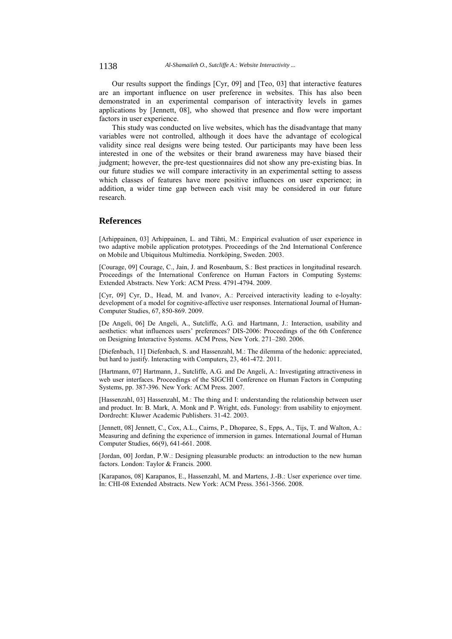Our results support the findings [Cyr, 09] and [Teo, 03] that interactive features are an important influence on user preference in websites. This has also been demonstrated in an experimental comparison of interactivity levels in games applications by [Jennett, 08], who showed that presence and flow were important factors in user experience.

This study was conducted on live websites, which has the disadvantage that many variables were not controlled, although it does have the advantage of ecological validity since real designs were being tested. Our participants may have been less interested in one of the websites or their brand awareness may have biased their judgment; however, the pre-test questionnaires did not show any pre-existing bias. In our future studies we will compare interactivity in an experimental setting to assess which classes of features have more positive influences on user experience; in addition, a wider time gap between each visit may be considered in our future research.

# **References**

[Arhippainen, 03] Arhippainen, L. and Tähti, M.: Empirical evaluation of user experience in two adaptive mobile application prototypes. Proceedings of the 2nd International Conference on Mobile and Ubiquitous Multimedia. Norrköping, Sweden. 2003.

[Courage, 09] Courage, C., Jain, J. and Rosenbaum, S.: Best practices in longitudinal research. Proceedings of the International Conference on Human Factors in Computing Systems: Extended Abstracts. New York: ACM Press. 4791-4794. 2009.

[Cyr, 09] Cyr, D., Head, M. and Ivanov, A.: Perceived interactivity leading to e-loyalty: development of a model for cognitive-affective user responses. International Journal of Human-Computer Studies, 67, 850-869. 2009.

[De Angeli, 06] De Angeli, A., Sutcliffe, A.G. and Hartmann, J.: Interaction, usability and aesthetics: what influences users' preferences? DIS-2006: Proceedings of the 6th Conference on Designing Interactive Systems. ACM Press, New York. 271–280. 2006.

[Diefenbach, 11] Diefenbach, S. and Hassenzahl, M.: The dilemma of the hedonic: appreciated, but hard to justify. Interacting with Computers, 23, 461-472. 2011.

[Hartmann, 07] Hartmann, J., Sutcliffe, A.G. and De Angeli, A.: Investigating attractiveness in web user interfaces. Proceedings of the SIGCHI Conference on Human Factors in Computing Systems, pp. 387-396. New York: ACM Press. 2007.

[Hassenzahl, 03] Hassenzahl, M.: The thing and I: understanding the relationship between user and product. In: B. Mark, A. Monk and P. Wright, eds. Funology: from usability to enjoyment. Dordrecht: Kluwer Academic Publishers. 31-42. 2003.

[Jennett, 08] Jennett, C., Cox, A.L., Cairns, P., Dhoparee, S., Epps, A., Tijs, T. and Walton, A.: Measuring and defining the experience of immersion in games. International Journal of Human Computer Studies, 66(9), 641-661. 2008.

[Jordan, 00] Jordan, P.W.: Designing pleasurable products: an introduction to the new human factors. London: Taylor & Francis. 2000.

[Karapanos, 08] Karapanos, E., Hassenzahl, M. and Martens, J.-B.: User experience over time. In: CHI-08 Extended Abstracts. New York: ACM Press. 3561-3566. 2008.